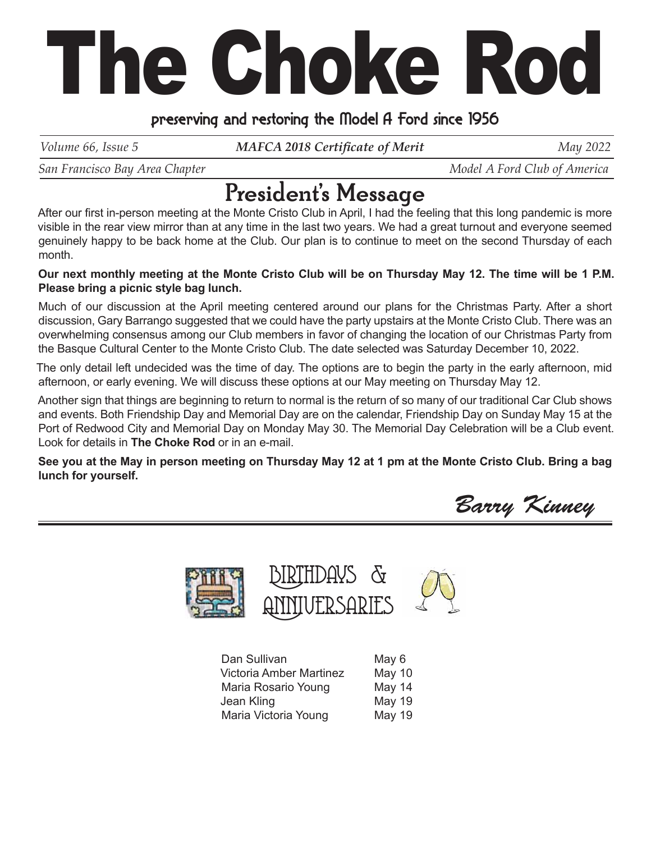# The Choke Rod

### preserving and restoring the Model A Ford since 1956

*Volume 66, Issue 5 MAFCA 2018 Certificate of Merit May 2022* 

*San Francisco Bay Area Chapter*  $\blacksquare$   $\blacksquare$   $\blacksquare$   $\blacksquare$   $\blacksquare$   $\blacksquare$   $\blacksquare$   $\blacksquare$   $\blacksquare$   $\blacksquare$   $\blacksquare$   $\blacksquare$   $\blacksquare$   $\blacksquare$   $\blacksquare$   $\blacksquare$   $\blacksquare$   $\blacksquare$   $\blacksquare$   $\blacksquare$   $\blacksquare$   $\blacksquare$   $\blacksquare$   $\blacksquare$   $\blacksquare$   $\blacksquare$   $\blacksquare$ 

## President's Message

After our first in-person meeting at the Monte Cristo Club in April, I had the feeling that this long pandemic is more visible in the rear view mirror than at any time in the last two years. We had a great turnout and everyone seemed genuinely happy to be back home at the Club. Our plan is to continue to meet on the second Thursday of each month.

#### **Our next monthly meeting at the Monte Cristo Club will be on Thursday May 12. The time will be 1 P.M. Please bring a picnic style bag lunch.**

Much of our discussion at the April meeting centered around our plans for the Christmas Party. After a short discussion, Gary Barrango suggested that we could have the party upstairs at the Monte Cristo Club. There was an overwhelming consensus among our Club members in favor of changing the location of our Christmas Party from the Basque Cultural Center to the Monte Cristo Club. The date selected was Saturday December 10, 2022.

The only detail left undecided was the time of day. The options are to begin the party in the early afternoon, mid afternoon, or early evening. We will discuss these options at our May meeting on Thursday May 12.

Another sign that things are beginning to return to normal is the return of so many of our traditional Car Club shows and events. Both Friendship Day and Memorial Day are on the calendar, Friendship Day on Sunday May 15 at the Port of Redwood City and Memorial Day on Monday May 30. The Memorial Day Celebration will be a Club event. Look for details in **The Choke Rod** or in an e-mail.

**See you at the May in person meeting on Thursday May 12 at 1 pm at the Monte Cristo Club. Bring a bag lunch for yourself.**

Barry Kinney



| Dan Sullivan                   | May 6         |
|--------------------------------|---------------|
| <b>Victoria Amber Martinez</b> | May 10        |
| Maria Rosario Young            | May 14        |
| Jean Kling                     | <b>May 19</b> |
| Maria Victoria Young           | <b>May 19</b> |